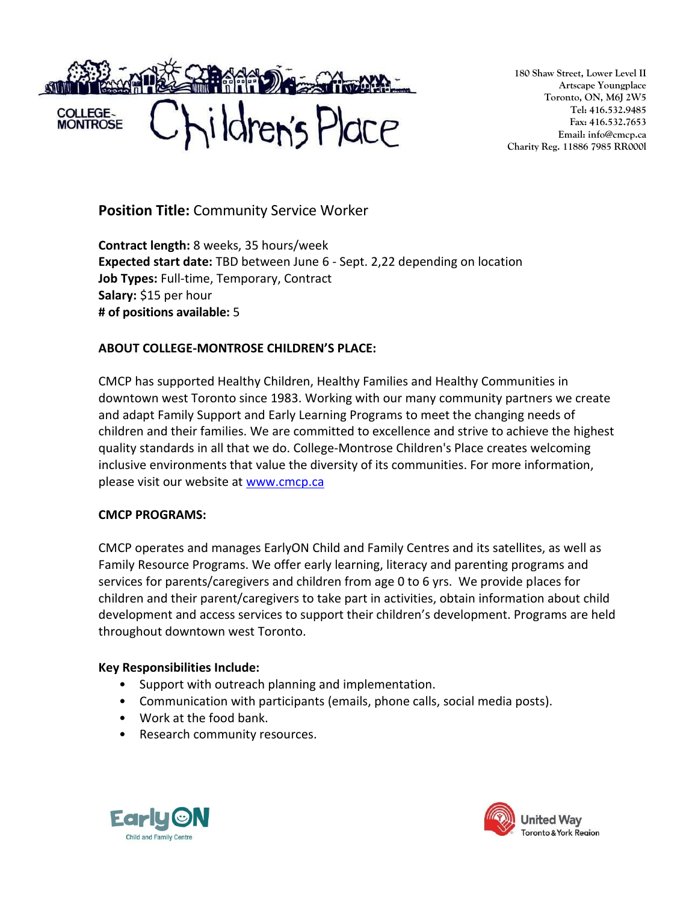

**180 Shaw Street, Lower Level II Artscape Youngplace Toronto, ON, M6J 2W5 Tel: 416.532.9485 Fax: 416.532.7653 Email: info@cmcp.ca Charity Reg. 11886 7985 RR000l**

**Position Title:** Community Service Worker

**Contract length:** 8 weeks, 35 hours/week **Expected start date:** TBD between June 6 - Sept. 2,22 depending on location **Job Types:** Full-time, Temporary, Contract **Salary:** \$15 per hour **# of positions available:** 5

## **ABOUT COLLEGE-MONTROSE CHILDREN'S PLACE:**

CMCP has supported Healthy Children, Healthy Families and Healthy Communities in downtown west Toronto since 1983. Working with our many community partners we create and adapt Family Support and Early Learning Programs to meet the changing needs of children and their families. We are committed to excellence and strive to achieve the highest quality standards in all that we do. College-Montrose Children's Place creates welcoming inclusive environments that value the diversity of its communities. For more information, please visit our website at [www.cmcp.ca](http://www.cmcp.ca/)

## **CMCP PROGRAMS:**

CMCP operates and manages EarlyON Child and Family Centres and its satellites, as well as Family Resource Programs. We offer early learning, literacy and parenting programs and services for parents/caregivers and children from age 0 to 6 yrs. We provide places for children and their parent/caregivers to take part in activities, obtain information about child development and access services to support their children's development. Programs are held throughout downtown west Toronto.

## **Key Responsibilities Include:**

- Support with outreach planning and implementation.
- Communication with participants (emails, phone calls, social media posts).
- Work at the food bank.
- Research community resources.